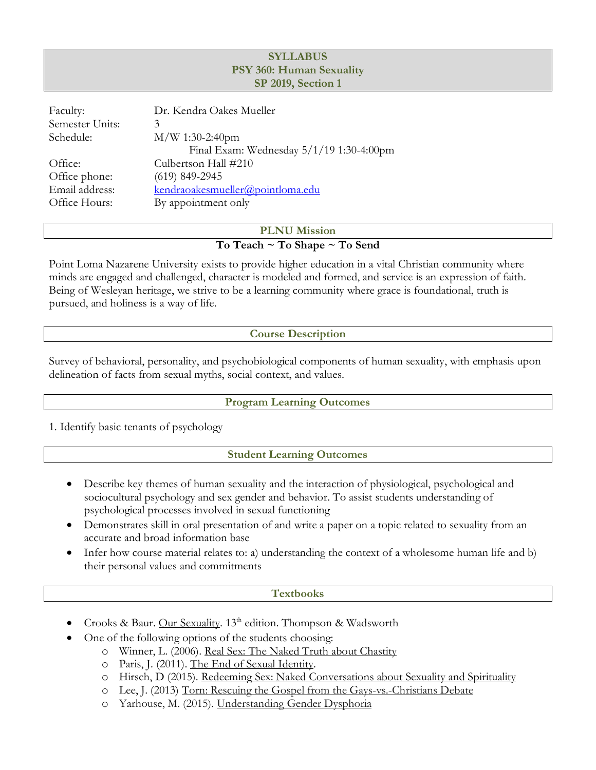## **SYLLABUS PSY 360: Human Sexuality SP 2019, Section 1**

| Faculty:        | Dr. Kendra Oakes Mueller                 |
|-----------------|------------------------------------------|
| Semester Units: |                                          |
| Schedule:       | $M/W$ 1:30-2:40pm                        |
|                 | Final Exam: Wednesday 5/1/19 1:30-4:00pm |
| Office:         | Culbertson Hall #210                     |
| Office phone:   | $(619)$ 849-2945                         |
| Email address:  | kendraoakesmueller@pointloma.edu         |
| Office Hours:   | By appointment only                      |
|                 |                                          |

### **PLNU Mission To Teach ~ To Shape ~ To Send**

Point Loma Nazarene University exists to provide higher education in a vital Christian community where minds are engaged and challenged, character is modeled and formed, and service is an expression of faith. Being of Wesleyan heritage, we strive to be a learning community where grace is foundational, truth is pursued, and holiness is a way of life.

# **Course Description**

Survey of behavioral, personality, and psychobiological components of human sexuality, with emphasis upon delineation of facts from sexual myths, social context, and values.

### **Program Learning Outcomes**

1. Identify basic tenants of psychology

# **Student Learning Outcomes**

- Describe key themes of human sexuality and the interaction of physiological, psychological and sociocultural psychology and sex gender and behavior. To assist students understanding of psychological processes involved in sexual functioning
- Demonstrates skill in oral presentation of and write a paper on a topic related to sexuality from an accurate and broad information base
- Infer how course material relates to: a) understanding the context of a wholesome human life and b) their personal values and commitments

### **Textbooks**

- Crooks & Baur. Our Sexuality. 13<sup>th</sup> edition. Thompson & Wadsworth
	- One of the following options of the students choosing:
		- o Winner, L. (2006). Real Sex: The Naked Truth about Chastity
		- o Paris, J. (2011). The End of Sexual Identity.
		- o Hirsch, D (2015). Redeeming Sex: Naked Conversations about Sexuality and Spirituality
		- o Lee, J. (2013) Torn: Rescuing the Gospel from the Gays-vs.-Christians Debate
		- o Yarhouse, M. (2015). Understanding Gender Dysphoria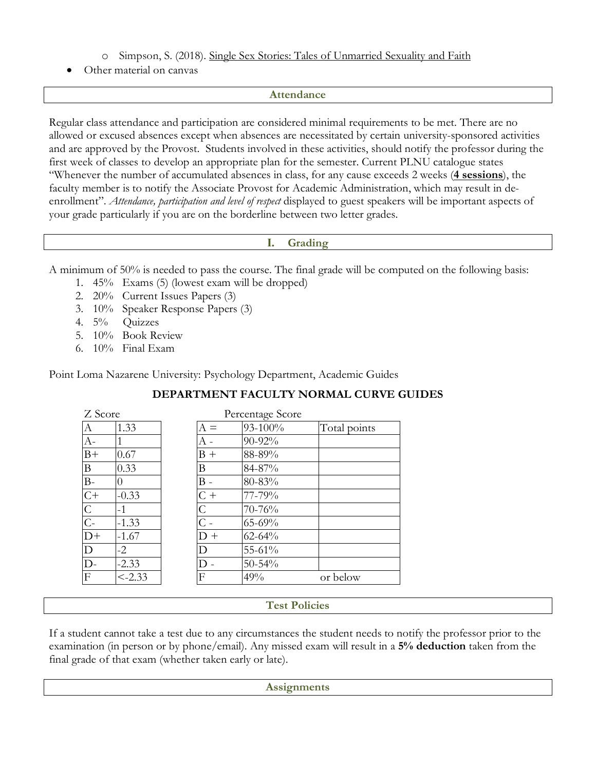- o Simpson, S. (2018). Single Sex Stories: Tales of Unmarried Sexuality and Faith
- Other material on canvas

#### **Attendance**

Regular class attendance and participation are considered minimal requirements to be met. There are no allowed or excused absences except when absences are necessitated by certain university-sponsored activities and are approved by the Provost. Students involved in these activities, should notify the professor during the first week of classes to develop an appropriate plan for the semester. Current PLNU catalogue states "Whenever the number of accumulated absences in class, for any cause exceeds 2 weeks (**4 sessions**), the faculty member is to notify the Associate Provost for Academic Administration, which may result in deenrollment". *Attendance, participation and level of respect* displayed to guest speakers will be important aspects of your grade particularly if you are on the borderline between two letter grades.

### **I. Grading**

A minimum of 50% is needed to pass the course. The final grade will be computed on the following basis:

- 1. 45% Exams (5) (lowest exam will be dropped)
- 2. 20% Current Issues Papers (3)
- 3. 10% Speaker Response Papers (3)
- 4. 5% Quizzes
- 5. 10% Book Review
- 6. 10% Final Exam

Point Loma Nazarene University: Psychology Department, Academic Guides

### **DEPARTMENT FACULTY NORMAL CURVE GUIDES**

| Z Score         |           |       | Percentage Score |              |
|-----------------|-----------|-------|------------------|--------------|
| А               | 1.33      | $A =$ | 93-100%          | Total points |
| $A -$           |           |       | 90-92%           |              |
| $B+$            | 0.67      | $B +$ | 88-89%           |              |
| B               | 0.33      | Β     | 84-87%           |              |
| $B-$            |           | B -   | 80-83%           |              |
| $\overline{C}$  | $-0.33$   | $C +$ | 77-79%           |              |
| $rac{C}{C}$     | $-1$      | Ċ     | 70-76%           |              |
|                 | $-1.33$   |       | $65 - 69%$       |              |
| $\overline{D+}$ | $-1.67$   | $D +$ | $62 - 64%$       |              |
| $\overline{D}$  | $-2$      | D     | 55-61%           |              |
| $\overline{D}$  | $-2.33$   |       | $50 - 54\%$      |              |
| F               | $< -2.33$ | F     | 49%              | or below     |

### **Test Policies**

If a student cannot take a test due to any circumstances the student needs to notify the professor prior to the examination (in person or by phone/email). Any missed exam will result in a **5% deduction** taken from the final grade of that exam (whether taken early or late).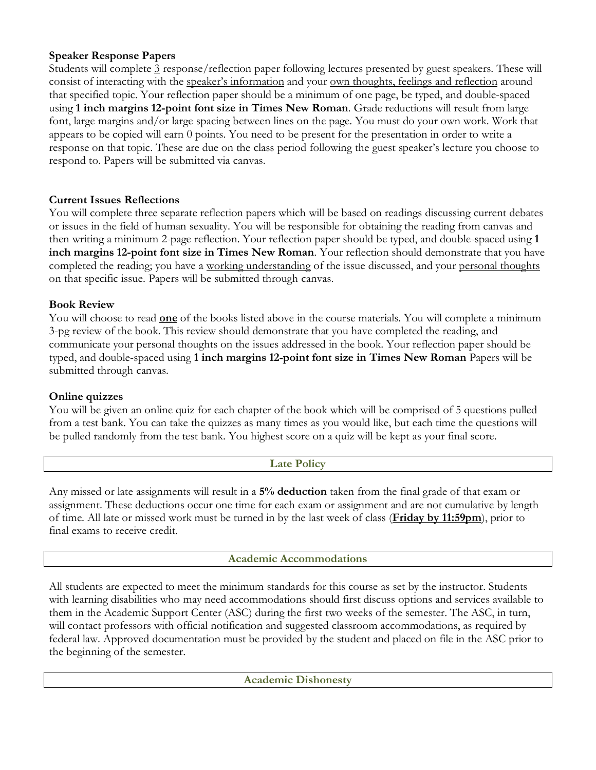## **Speaker Response Papers**

Students will complete 3 response/reflection paper following lectures presented by guest speakers. These will consist of interacting with the speaker's information and your own thoughts, feelings and reflection around that specified topic. Your reflection paper should be a minimum of one page, be typed, and double-spaced using **1 inch margins 12-point font size in Times New Roman**. Grade reductions will result from large font, large margins and/or large spacing between lines on the page. You must do your own work. Work that appears to be copied will earn 0 points. You need to be present for the presentation in order to write a response on that topic. These are due on the class period following the guest speaker's lecture you choose to respond to. Papers will be submitted via canvas.

## **Current Issues Reflections**

You will complete three separate reflection papers which will be based on readings discussing current debates or issues in the field of human sexuality. You will be responsible for obtaining the reading from canvas and then writing a minimum 2-page reflection. Your reflection paper should be typed, and double-spaced using **1 inch margins 12-point font size in Times New Roman**. Your reflection should demonstrate that you have completed the reading; you have a working understanding of the issue discussed, and your personal thoughts on that specific issue. Papers will be submitted through canvas.

## **Book Review**

You will choose to read **one** of the books listed above in the course materials. You will complete a minimum 3-pg review of the book. This review should demonstrate that you have completed the reading, and communicate your personal thoughts on the issues addressed in the book. Your reflection paper should be typed, and double-spaced using **1 inch margins 12-point font size in Times New Roman** Papers will be submitted through canvas.

### **Online quizzes**

You will be given an online quiz for each chapter of the book which will be comprised of 5 questions pulled from a test bank. You can take the quizzes as many times as you would like, but each time the questions will be pulled randomly from the test bank. You highest score on a quiz will be kept as your final score.

| ге<br>л | roum |  |
|---------|------|--|

Any missed or late assignments will result in a **5% deduction** taken from the final grade of that exam or assignment. These deductions occur one time for each exam or assignment and are not cumulative by length of time. All late or missed work must be turned in by the last week of class (**Friday by 11:59pm**), prior to final exams to receive credit.

### **Academic Accommodations**

All students are expected to meet the minimum standards for this course as set by the instructor. Students with learning disabilities who may need accommodations should first discuss options and services available to them in the Academic Support Center (ASC) during the first two weeks of the semester. The ASC, in turn, will contact professors with official notification and suggested classroom accommodations, as required by federal law. Approved documentation must be provided by the student and placed on file in the ASC prior to the beginning of the semester.

**Academic Dishonesty**